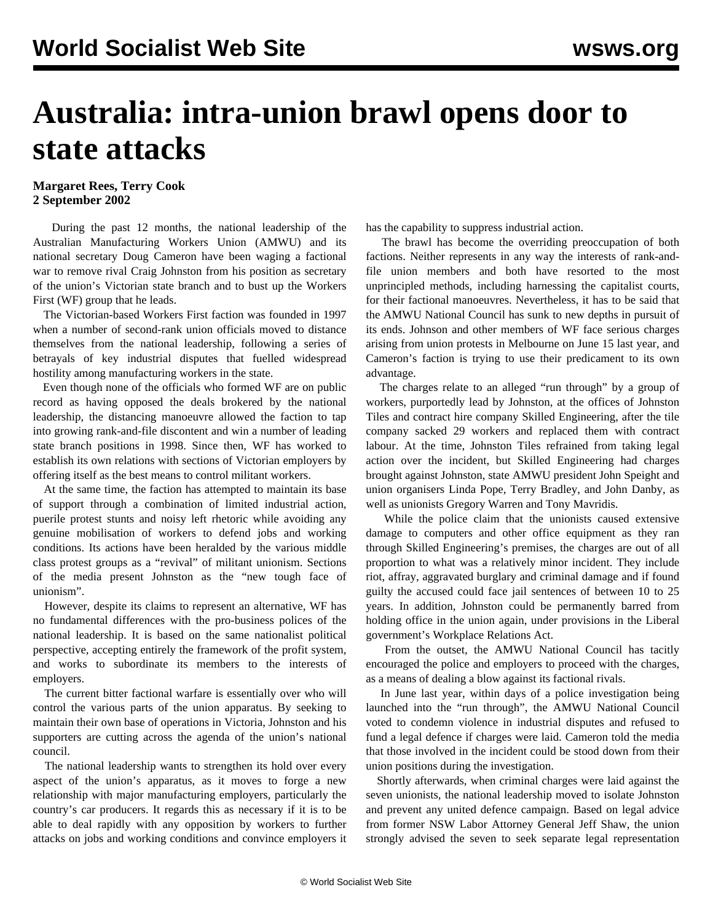## **Australia: intra-union brawl opens door to state attacks**

## **Margaret Rees, Terry Cook 2 September 2002**

 During the past 12 months, the national leadership of the Australian Manufacturing Workers Union (AMWU) and its national secretary Doug Cameron have been waging a factional war to remove rival Craig Johnston from his position as secretary of the union's Victorian state branch and to bust up the Workers First (WF) group that he leads.

 The Victorian-based Workers First faction was founded in 1997 when a number of second-rank union officials moved to distance themselves from the national leadership, following a series of betrayals of key industrial disputes that fuelled widespread hostility among manufacturing workers in the state.

 Even though none of the officials who formed WF are on public record as having opposed the deals brokered by the national leadership, the distancing manoeuvre allowed the faction to tap into growing rank-and-file discontent and win a number of leading state branch positions in 1998. Since then, WF has worked to establish its own relations with sections of Victorian employers by offering itself as the best means to control militant workers.

 At the same time, the faction has attempted to maintain its base of support through a combination of limited industrial action, puerile protest stunts and noisy left rhetoric while avoiding any genuine mobilisation of workers to defend jobs and working conditions. Its actions have been heralded by the various middle class protest groups as a "revival" of militant unionism. Sections of the media present Johnston as the "new tough face of unionism".

 However, despite its claims to represent an alternative, WF has no fundamental differences with the pro-business polices of the national leadership. It is based on the same nationalist political perspective, accepting entirely the framework of the profit system, and works to subordinate its members to the interests of employers.

 The current bitter factional warfare is essentially over who will control the various parts of the union apparatus. By seeking to maintain their own base of operations in Victoria, Johnston and his supporters are cutting across the agenda of the union's national council.

 The national leadership wants to strengthen its hold over every aspect of the union's apparatus, as it moves to forge a new relationship with major manufacturing employers, particularly the country's car producers. It regards this as necessary if it is to be able to deal rapidly with any opposition by workers to further attacks on jobs and working conditions and convince employers it has the capability to suppress industrial action.

 The brawl has become the overriding preoccupation of both factions. Neither represents in any way the interests of rank-andfile union members and both have resorted to the most unprincipled methods, including harnessing the capitalist courts, for their factional manoeuvres. Nevertheless, it has to be said that the AMWU National Council has sunk to new depths in pursuit of its ends. Johnson and other members of WF face serious charges arising from union protests in Melbourne on June 15 last year, and Cameron's faction is trying to use their predicament to its own advantage.

 The charges relate to an alleged "run through" by a group of workers, purportedly lead by Johnston, at the offices of Johnston Tiles and contract hire company Skilled Engineering, after the tile company sacked 29 workers and replaced them with contract labour. At the time, Johnston Tiles refrained from taking legal action over the incident, but Skilled Engineering had charges brought against Johnston, state AMWU president John Speight and union organisers Linda Pope, Terry Bradley, and John Danby, as well as unionists Gregory Warren and Tony Mavridis.

 While the police claim that the unionists caused extensive damage to computers and other office equipment as they ran through Skilled Engineering's premises, the charges are out of all proportion to what was a relatively minor incident. They include riot, affray, aggravated burglary and criminal damage and if found guilty the accused could face jail sentences of between 10 to 25 years. In addition, Johnston could be permanently barred from holding office in the union again, under provisions in the Liberal government's Workplace Relations Act.

 From the outset, the AMWU National Council has tacitly encouraged the police and employers to proceed with the charges, as a means of dealing a blow against its factional rivals.

 In June last year, within days of a police investigation being launched into the "run through", the AMWU National Council voted to condemn violence in industrial disputes and refused to fund a legal defence if charges were laid. Cameron told the media that those involved in the incident could be stood down from their union positions during the investigation.

 Shortly afterwards, when criminal charges were laid against the seven unionists, the national leadership moved to isolate Johnston and prevent any united defence campaign. Based on legal advice from former NSW Labor Attorney General Jeff Shaw, the union strongly advised the seven to seek separate legal representation